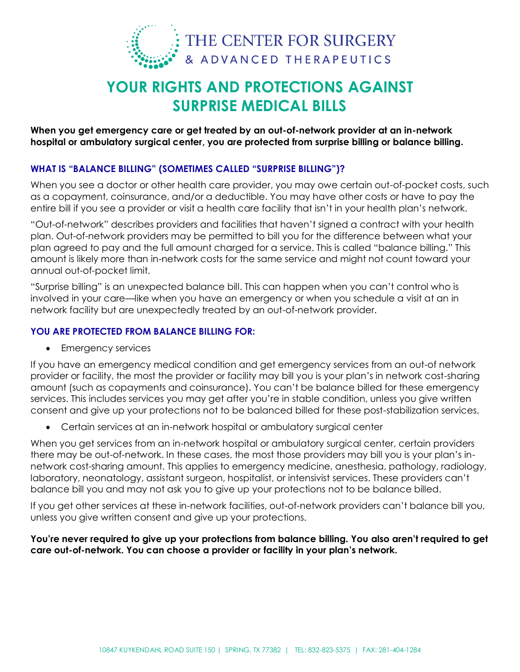

# **YOUR RIGHTS AND PROTECTIONS AGAINST SURPRISE MEDICAL BILLS**

**When you get emergency care or get treated by an out-of-network provider at an in-network hospital or ambulatory surgical center, you are protected from surprise billing or balance billing.**

### **WHAT IS "BALANCE BILLING" (SOMETIMES CALLED "SURPRISE BILLING")?**

When you see a doctor or other health care provider, you may owe certain out-of-pocket costs, such as a copayment, coinsurance, and/or a deductible. You may have other costs or have to pay the entire bill if you see a provider or visit a health care facility that isn't in your health plan's network.

"Out-of-network" describes providers and facilities that haven't signed a contract with your health plan. Out-of-network providers may be permitted to bill you for the difference between what your plan agreed to pay and the full amount charged for a service. This is called "balance billing." This amount is likely more than in-network costs for the same service and might not count toward your annual out-of-pocket limit.

"Surprise billing" is an unexpected balance bill. This can happen when you can't control who is involved in your care—like when you have an emergency or when you schedule a visit at an in network facility but are unexpectedly treated by an out-of-network provider.

#### **YOU ARE PROTECTED FROM BALANCE BILLING FOR:**

• Emergency services

If you have an emergency medical condition and get emergency services from an out-of network provider or facility, the most the provider or facility may bill you is your plan's in network cost-sharing amount (such as copayments and coinsurance). You can't be balance billed for these emergency services. This includes services you may get after you're in stable condition, unless you give written consent and give up your protections not to be balanced billed for these post-stabilization services.

Certain services at an in-network hospital or ambulatory surgical center

When you get services from an in-network hospital or ambulatory surgical center, certain providers there may be out-of-network. In these cases, the most those providers may bill you is your plan's innetwork cost-sharing amount. This applies to emergency medicine, anesthesia, pathology, radiology, laboratory, neonatology, assistant surgeon, hospitalist, or intensivist services. These providers can't balance bill you and may not ask you to give up your protections not to be balance billed.

If you get other services at these in-network facilities, out-of-network providers can't balance bill you, unless you give written consent and give up your protections.

#### **You're never required to give up your protections from balance billing. You also aren't required to get care out-of-network. You can choose a provider or facility in your plan's network.**